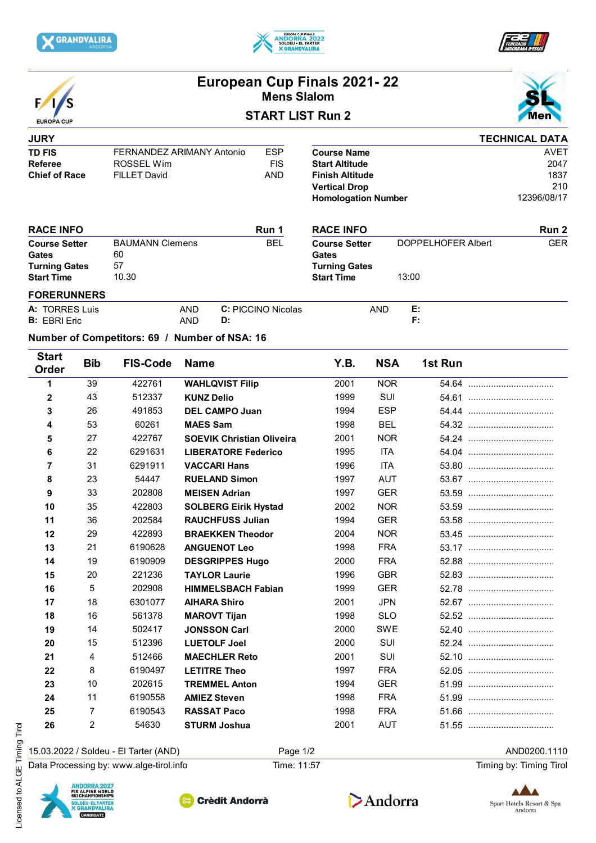







# **European Cup Finals 2021- 22 Mens Slalom**





**Run 2**

## **JURY TD FIS** FERNANDEZ ARIMANY Antonio ESP<br>Referee ROSSFI Wim FIS **Referee** ROSSEL Wim **Chief of Race** FILLET David **AND**

|                            | <b>TECHNICAL DATA</b> |
|----------------------------|-----------------------|
| <b>Course Name</b>         | <b>AVFT</b>           |
| <b>Start Altitude</b>      | 2047                  |
| <b>Finish Altitude</b>     | 1837                  |
| <b>Vertical Drop</b>       | 210                   |
| <b>Homologation Number</b> | 12396/08/17           |

13:00

#### **Course Setter Gates Turning Gates Start Time** BAUMANN Clemens 60 57 10.30 BEL Course Setter DOPPELHOFER Albert GER **Run 1 RACE INFO RACE INFO Course Setter Gates Turning Gates Start Time**

| <b>FORERUNNERS</b>    |     |                           |            |           |  |
|-----------------------|-----|---------------------------|------------|-----------|--|
| <b>A: TORRES Luis</b> | AND | <b>C:</b> PICCINO Nicolas | <b>AND</b> | г.<br>. . |  |
| <b>B: EBRI Eric</b>   | AND |                           |            |           |  |

## **Number of Competitors: 69 / Number of NSA: 16**

| <b>Start</b><br>Order | <b>Bib</b>     | <b>FIS-Code</b> | <b>Name</b>                      | Y.B. | <b>NSA</b> | 1st Run |  |
|-----------------------|----------------|-----------------|----------------------------------|------|------------|---------|--|
| 1                     | 39             | 422761          | <b>WAHLQVIST Filip</b>           | 2001 | <b>NOR</b> |         |  |
| 2                     | 43             | 512337          | <b>KUNZ Delio</b>                | 1999 | <b>SUI</b> |         |  |
| 3                     | 26             | 491853          | <b>DEL CAMPO Juan</b>            | 1994 | <b>ESP</b> |         |  |
| 4                     | 53             | 60261           | <b>MAES Sam</b>                  | 1998 | <b>BEL</b> |         |  |
| 5                     | 27             | 422767          | <b>SOEVIK Christian Oliveira</b> | 2001 | <b>NOR</b> |         |  |
| 6                     | 22             | 6291631         | <b>LIBERATORE Federico</b>       | 1995 | <b>ITA</b> |         |  |
| 7                     | 31             | 6291911         | <b>VACCARI Hans</b>              | 1996 | <b>ITA</b> |         |  |
| 8                     | 23             | 54447           | <b>RUELAND Simon</b>             | 1997 | <b>AUT</b> |         |  |
| 9                     | 33             | 202808          | <b>MEISEN Adrian</b>             | 1997 | <b>GER</b> |         |  |
| 10                    | 35             | 422803          | <b>SOLBERG Eirik Hystad</b>      | 2002 | <b>NOR</b> |         |  |
| 11                    | 36             | 202584          | <b>RAUCHFUSS Julian</b>          | 1994 | <b>GER</b> |         |  |
| 12                    | 29             | 422893          | <b>BRAEKKEN Theodor</b>          | 2004 | <b>NOR</b> |         |  |
| 13                    | 21             | 6190628         | <b>ANGUENOT Leo</b>              | 1998 | <b>FRA</b> |         |  |
| 14                    | 19             | 6190909         | <b>DESGRIPPES Hugo</b>           | 2000 | <b>FRA</b> |         |  |
| 15                    | 20             | 221236          | <b>TAYLOR Laurie</b>             | 1996 | <b>GBR</b> |         |  |
| 16                    | 5              | 202908          | <b>HIMMELSBACH Fabian</b>        | 1999 | <b>GER</b> |         |  |
| 17                    | 18             | 6301077         | <b>AIHARA Shiro</b>              | 2001 | <b>JPN</b> |         |  |
| 18                    | 16             | 561378          | <b>MAROVT Tijan</b>              | 1998 | <b>SLO</b> |         |  |
| 19                    | 14             | 502417          | <b>JONSSON Carl</b>              | 2000 | <b>SWE</b> |         |  |
| 20                    | 15             | 512396          | <b>LUETOLF Joel</b>              | 2000 | <b>SUI</b> |         |  |
| 21                    | $\overline{4}$ | 512466          | <b>MAECHLER Reto</b>             | 2001 | <b>SUI</b> |         |  |
| 22                    | 8              | 6190497         | <b>LETITRE Theo</b>              | 1997 | <b>FRA</b> |         |  |
| 23                    | 10             | 202615          | <b>TREMMEL Anton</b>             | 1994 | <b>GER</b> |         |  |
| 24                    | 11             | 6190558         | <b>AMIEZ Steven</b>              | 1998 | <b>FRA</b> |         |  |
| 25                    | $\overline{7}$ | 6190543         | <b>RASSAT Paco</b>               | 1998 | <b>FRA</b> |         |  |
| 26                    | 2              | 54630           | <b>STURM Joshua</b>              | 2001 | <b>AUT</b> |         |  |

15.03.2022 / Soldeu - El Tarter (AND) Page 1/2 AND0200.1110